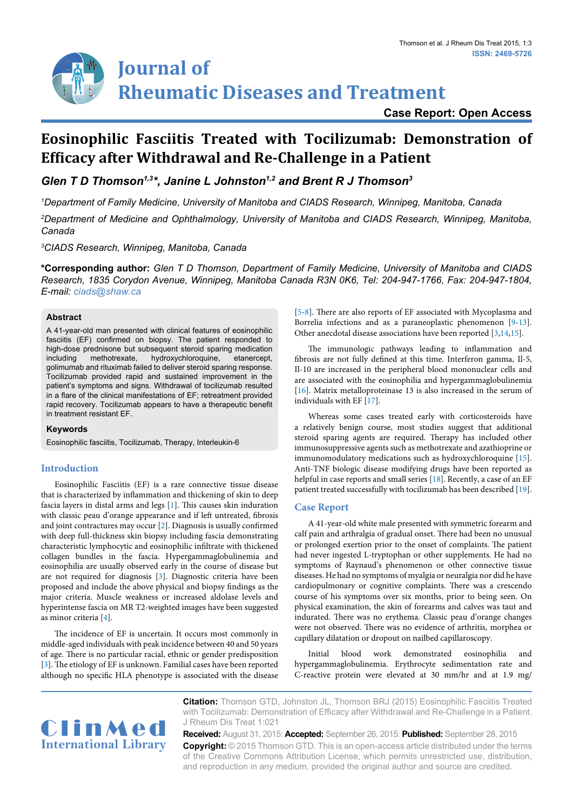# **Journal of Rheumatic Diseases and Treatment**

# **Case Report: Open Access**

# **Eosinophilic Fasciitis Treated with Tocilizumab: Demonstration of Efficacy after Withdrawal and Re-Challenge in a Patient**

Glen T D Thomson<sup>1,3\*</sup>, Janine L Johnston<sup>1,2</sup> and Brent R J Thomson<sup>3</sup>

*1 Department of Family Medicine, University of Manitoba and CIADS Research, Winnipeg, Manitoba, Canada*

*2 Department of Medicine and Ophthalmology, University of Manitoba and CIADS Research, Winnipeg, Manitoba, Canada*

*3 CIADS Research, Winnipeg, Manitoba, Canada*

**\*Corresponding author:** *Glen T D Thomson, Department of Family Medicine, University of Manitoba and CIADS Research, 1835 Corydon Avenue, Winnipeg, Manitoba Canada R3N 0K6, Tel: 204-947-1766, Fax: 204-947-1804, E-mail: ciads@shaw.ca*

# **Abstract**

A 41-year-old man presented with clinical features of eosinophilic fasciitis (EF) confirmed on biopsy. The patient responded to high-dose prednisone but subsequent steroid sparing medication<br>including methotrexate, hydroxychloroquine, etanercept, including methotrexate, hydroxychloroquine, etanercept, golimumab and rituximab failed to deliver steroid sparing response. Tocilizumab provided rapid and sustained improvement in the patient's symptoms and signs. Withdrawal of tocilizumab resulted in a flare of the clinical manifestations of EF; retreatment provided rapid recovery. Tocilizumab appears to have a therapeutic benefit in treatment resistant EF.

# **Keywords**

Eosinophilic fasciitis, Tocilizumab, Therapy, Interleukin-6

# **Introduction**

Eosinophilic Fasciitis (EF) is a rare connective tissue disease that is characterized by inflammation and thickening of skin to deep fascia layers in distal arms and legs [[1](#page-1-0)]. This causes skin induration with classic peau d'orange appearance and if left untreated, fibrosis and joint contractures may occur [\[2\]](#page-1-1). Diagnosis is usually confirmed with deep full-thickness skin biopsy including fascia demonstrating characteristic lymphocytic and eosinophilic infiltrate with thickened collagen bundles in the fascia. Hypergammaglobulinemia and eosinophilia are usually observed early in the course of disease but are not required for diagnosis [[3\]](#page-1-2). Diagnostic criteria have been proposed and include the above physical and biopsy findings as the major criteria. Muscle weakness or increased aldolase levels and hyperintense fascia on MR T2-weighted images have been suggested as minor criteria [\[4\]](#page-1-3).

The incidence of EF is uncertain. It occurs most commonly in middle-aged individuals with peak incidence between 40 and 50 years of age. There is no particular racial, ethnic or gender predisposition [[3\]](#page-1-2). The etiology of EF is unknown. Familial cases have been reported although no specific HLA phenotype is associated with the disease

[\[5-](#page-1-4)[8](#page-1-5)]. There are also reports of EF associated with Mycoplasma and Borrelia infections and as a paraneoplastic phenomenon [\[9-](#page-2-0)[13\]](#page-2-1). Other anecdotal disease associations have been reported [\[3,](#page-1-2)[14](#page-2-2),[15](#page-2-3)].

The immunologic pathways leading to inflammation and fibrosis are not fully defined at this time. Interferon gamma, Il-5, Il-10 are increased in the peripheral blood mononuclear cells and are associated with the eosinophilia and hypergammaglobulinemia [\[16\]](#page-2-4). Matrix metalloproteinase 13 is also increased in the serum of individuals with EF [[17](#page-2-5)].

Whereas some cases treated early with corticosteroids have a relatively benign course, most studies suggest that additional steroid sparing agents are required. Therapy has included other immunosuppressive agents such as methotrexate and azathioprine or immunomodulatory medications such as hydroxychloroquine [[15\]](#page-2-3). Anti-TNF biologic disease modifying drugs have been reported as helpful in case reports and small series [\[18\]](#page-2-6). Recently, a case of an EF patient treated successfully with tocilizumab has been described [[19\]](#page-2-7).

# **Case Report**

A 41-year-old white male presented with symmetric forearm and calf pain and arthralgia of gradual onset. There had been no unusual or prolonged exertion prior to the onset of complaints. The patient had never ingested L-tryptophan or other supplements. He had no symptoms of Raynaud's phenomenon or other connective tissue diseases. He had no symptoms of myalgia or neuralgia nor did he have cardiopulmonary or cognitive complaints. There was a crescendo course of his symptoms over six months, prior to being seen. On physical examination, the skin of forearms and calves was taut and indurated. There was no erythema. Classic peau d'orange changes were not observed. There was no evidence of arthritis, morphea or capillary dilatation or dropout on nailbed capillaroscopy.

Initial blood work demonstrated eosinophilia and hypergammaglobulinemia. Erythrocyte sedimentation rate and C-reactive protein were elevated at 30 mm/hr and at 1.9 mg/



**Citation:** Thomson GTD, Johnston JL, Thomson BRJ (2015) Eosinophilic Fasciitis Treated with Tocilizumab: Demonstration of Efficacy after Withdrawal and Re-Challenge in a Patient. J Rheum Dis Treat 1:021

**Received:** August 31, 2015: **Accepted:** September 26, 2015: **Published:** September 28, 2015 **Copyright:** © 2015 Thomson GTD. This is an open-access article distributed under the terms of the Creative Commons Attribution License, which permits unrestricted use, distribution, and reproduction in any medium, provided the original author and source are credited.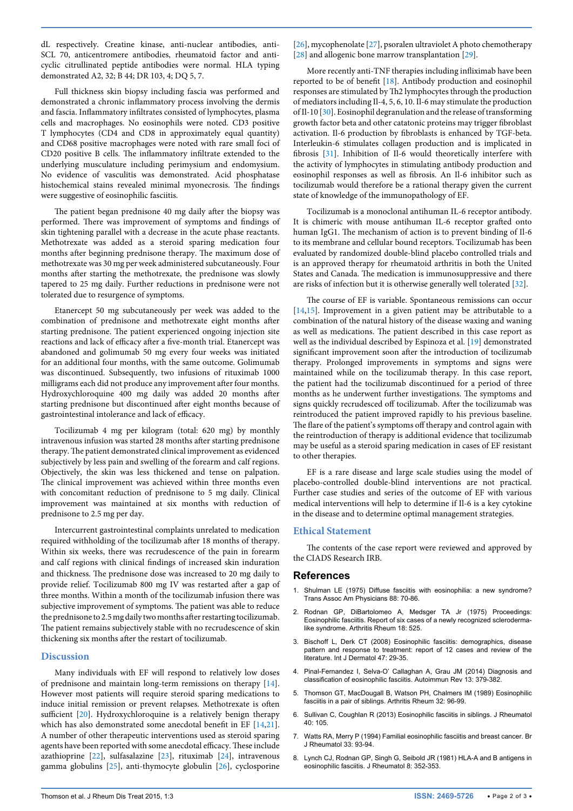dL respectively. Creatine kinase, anti-nuclear antibodies, anti-SCL 70, anticentromere antibodies, rheumatoid factor and anticyclic citrullinated peptide antibodies were normal. HLA typing demonstrated A2, 32; B 44; DR 103, 4; DQ 5, 7.

Full thickness skin biopsy including fascia was performed and demonstrated a chronic inflammatory process involving the dermis and fascia. Inflammatory infiltrates consisted of lymphocytes, plasma cells and macrophages. No eosinophils were noted. CD3 positive T lymphocytes (CD4 and CD8 in approximately equal quantity) and CD68 positive macrophages were noted with rare small foci of CD20 positive B cells. The inflammatory infiltrate extended to the underlying musculature including perimysium and endomysium. No evidence of vasculitis was demonstrated. Acid phosphatase histochemical stains revealed minimal myonecrosis. The findings were suggestive of eosinophilic fasciitis.

The patient began prednisone 40 mg daily after the biopsy was performed. There was improvement of symptoms and findings of skin tightening parallel with a decrease in the acute phase reactants. Methotrexate was added as a steroid sparing medication four months after beginning prednisone therapy. The maximum dose of methotrexate was 30 mg per week administered subcutaneously. Four months after starting the methotrexate, the prednisone was slowly tapered to 25 mg daily. Further reductions in prednisone were not tolerated due to resurgence of symptoms.

Etanercept 50 mg subcutaneously per week was added to the combination of prednisone and methotrexate eight months after starting prednisone. The patient experienced ongoing injection site reactions and lack of efficacy after a five-month trial. Etanercept was abandoned and golimumab 50 mg every four weeks was initiated for an additional four months, with the same outcome. Golimumab was discontinued. Subsequently, two infusions of rituximab 1000 milligrams each did not produce any improvement after four months. Hydroxychloroquine 400 mg daily was added 20 months after starting prednisone but discontinued after eight months because of gastrointestinal intolerance and lack of efficacy.

Tocilizumab 4 mg per kilogram (total: 620 mg) by monthly intravenous infusion was started 28 months after starting prednisone therapy. The patient demonstrated clinical improvement as evidenced subjectively by less pain and swelling of the forearm and calf regions. Objectively, the skin was less thickened and tense on palpation. The clinical improvement was achieved within three months even with concomitant reduction of prednisone to 5 mg daily. Clinical improvement was maintained at six months with reduction of prednisone to 2.5 mg per day.

Intercurrent gastrointestinal complaints unrelated to medication required withholding of the tocilizumab after 18 months of therapy. Within six weeks, there was recrudescence of the pain in forearm and calf regions with clinical findings of increased skin induration and thickness. The prednisone dose was increased to 20 mg daily to provide relief. Tocilizumab 800 mg IV was restarted after a gap of three months. Within a month of the tocilizumab infusion there was subjective improvement of symptoms. The patient was able to reduce the prednisone to 2.5 mg daily two months after restarting tocilizumab. The patient remains subjectively stable with no recrudescence of skin thickening six months after the restart of tocilizumab.

# **Discussion**

Many individuals with EF will respond to relatively low doses of prednisone and maintain long-term remissions on therapy [[14](#page-2-2)]. However most patients will require steroid sparing medications to induce initial remission or prevent relapses. Methotrexate is often sufficient [\[20](#page-2-8)]. Hydroxychloroquine is a relatively benign therapy which has also demonstrated some anecdotal benefit in EF [\[14,](#page-2-2)[21](#page-2-9)]. A number of other therapeutic interventions used as steroid sparing agents have been reported with some anecdotal efficacy. These include azathioprine [[22](#page-2-10)], sulfasalazine [\[23\]](#page-2-11), rituximab [\[24\]](#page-2-12), intravenous gamma globulins [\[25](#page-2-13)], anti-thymocyte globulin [\[26\]](#page-2-14), cyclosporine [[26](#page-2-14)], mycophenolate [\[27](#page-2-15)], psoralen ultraviolet A photo chemotherapy [[28](#page-2-16)] and allogenic bone marrow transplantation [[29\]](#page-2-17).

More recently anti-TNF therapies including infliximab have been reported to be of benefit [\[18\]](#page-2-6). Antibody production and eosinophil responses are stimulated by Th2 lymphocytes through the production of mediators including Il-4, 5, 6, 10. Il-6 may stimulate the production of Il-10 [\[30\]](#page-2-18). Eosinophil degranulation and the release of transforming growth factor beta and other catatonic proteins may trigger fibroblast activation. Il-6 production by fibroblasts is enhanced by TGF-beta. Interleukin-6 stimulates collagen production and is implicated in fibrosis [\[31\]](#page-2-19). Inhibition of Il-6 would theoretically interfere with the activity of lymphocytes in stimulating antibody production and eosinophil responses as well as fibrosis. An Il-6 inhibitor such as tocilizumab would therefore be a rational therapy given the current state of knowledge of the immunopathology of EF.

Tocilizumab is a monoclonal antihuman IL-6 receptor antibody. It is chimeric with mouse antihuman IL-6 receptor grafted onto human IgG1. The mechanism of action is to prevent binding of Il-6 to its membrane and cellular bound receptors. Tocilizumab has been evaluated by randomized double-blind placebo controlled trials and is an approved therapy for rheumatoid arthritis in both the United States and Canada. The medication is immunosuppressive and there are risks of infection but it is otherwise generally well tolerated [\[32\]](#page-2-20).

The course of EF is variable. Spontaneous remissions can occur [[14](#page-2-2),[15](#page-2-3)]. Improvement in a given patient may be attributable to a combination of the natural history of the disease waxing and waning as well as medications. The patient described in this case report as well as the individual described by Espinoza et al. [[19](#page-2-7)] demonstrated significant improvement soon after the introduction of tocilizumab therapy. Prolonged improvements in symptoms and signs were maintained while on the tocilizumab therapy. In this case report, the patient had the tocilizumab discontinued for a period of three months as he underwent further investigations. The symptoms and signs quickly recrudesced off tocilizumab. After the tocilizumab was reintroduced the patient improved rapidly to his previous baseline. The flare of the patient's symptoms off therapy and control again with the reintroduction of therapy is additional evidence that tocilizumab may be useful as a steroid sparing medication in cases of EF resistant to other therapies.

EF is a rare disease and large scale studies using the model of placebo-controlled double-blind interventions are not practical. Further case studies and series of the outcome of EF with various medical interventions will help to determine if Il-6 is a key cytokine in the disease and to determine optimal management strategies.

#### **Ethical Statement**

The contents of the case report were reviewed and approved by the CIADS Research IRB.

#### **References**

- <span id="page-1-0"></span>1. [Shulman LE \(1975\) Diffuse fasciitis with eosinophilia: a new syndrome?](http://www.ncbi.nlm.nih.gov/pubmed/1224441)  [Trans Assoc Am Physicians 88: 70-86.](http://www.ncbi.nlm.nih.gov/pubmed/1224441)
- <span id="page-1-1"></span>2. [Rodnan GP, DiBartolomeo A, Medsger TA Jr \(1975\) Proceedings:](http://www.ncbi.nlm.nih.gov/pubmed/1191357)  [Eosinophilic fasciitis. Report of six cases of a newly recognized scleroderma](http://www.ncbi.nlm.nih.gov/pubmed/1191357)[like syndrome. Arthritis Rheum 18: 525.](http://www.ncbi.nlm.nih.gov/pubmed/1191357)
- <span id="page-1-2"></span>3. [Bischoff L, Derk CT \(2008\) Eosinophilic fasciitis: demographics, disease](http://www.ncbi.nlm.nih.gov/pubmed/18173597)  [pattern and response to treatment: report of 12 cases and review of the](http://www.ncbi.nlm.nih.gov/pubmed/18173597)  [literature. Int J Dermatol 47: 29-35.](http://www.ncbi.nlm.nih.gov/pubmed/18173597)
- <span id="page-1-3"></span>4. [Pinal-Fernandez I, Selva-O' Callaghan A, Grau JM \(2014\) Diagnosis and](http://www.ncbi.nlm.nih.gov/pubmed/24424187)  [classification of eosinophilic fasciitis. Autoimmun Rev 13: 379-382.](http://www.ncbi.nlm.nih.gov/pubmed/24424187)
- <span id="page-1-4"></span>5. [Thomson GT, MacDougall B, Watson PH, Chalmers IM \(1989\) Eosinophilic](http://www.ncbi.nlm.nih.gov/pubmed/2912468)  [fasciitis in a pair of siblings. Arthritis Rheum 32: 96-99.](http://www.ncbi.nlm.nih.gov/pubmed/2912468)
- 6. [Sullivan C, Coughlan R \(2013\) Eosinophilic fasciitis in siblings. J Rheumatol](http://www.ncbi.nlm.nih.gov/pubmed/23280175)  [40: 105.](http://www.ncbi.nlm.nih.gov/pubmed/23280175)
- 7. [Watts RA, Merry P \(1994\) Familial eosinophilic fasciitis and breast cancer. Br](http://www.ncbi.nlm.nih.gov/pubmed/8162468)  [J Rheumatol 33: 93-94.](http://www.ncbi.nlm.nih.gov/pubmed/8162468)
- <span id="page-1-5"></span>8. [Lynch CJ, Rodnan GP, Singh G, Seibold JR \(1981\) HLA-A and B antigens in](http://www.ncbi.nlm.nih.gov/pubmed/7230168)  [eosinophilic fasciitis. J Rheumatol 8: 352-353.](http://www.ncbi.nlm.nih.gov/pubmed/7230168)